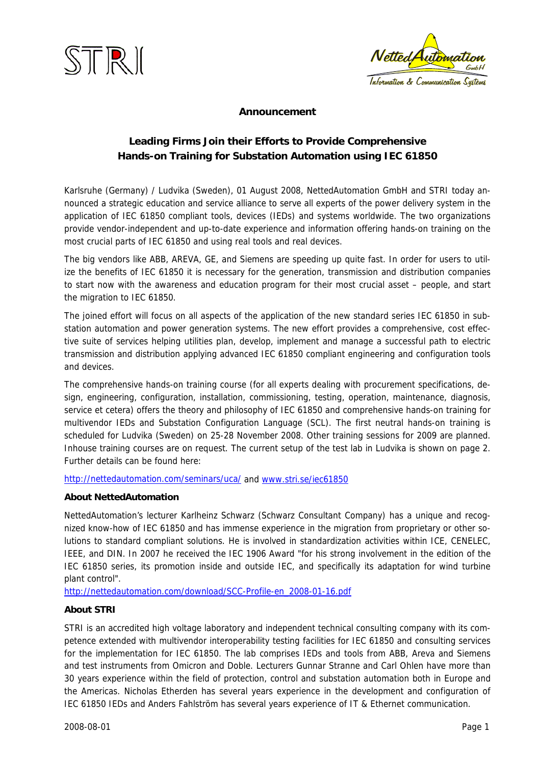



### **Announcement**

### **Leading Firms Join their Efforts to Provide Comprehensive Hands-on Training for Substation Automation using IEC 61850**

Karlsruhe (Germany) / Ludvika (Sweden), 01 August 2008, NettedAutomation GmbH and STRI today announced a strategic education and service alliance to serve all experts of the power delivery system in the application of IEC 61850 compliant tools, devices (IEDs) and systems worldwide. The two organizations provide vendor-independent and up-to-date experience and information offering hands-on training on the most crucial parts of IEC 61850 and using real tools and real devices.

The big vendors like ABB, AREVA, GE, and Siemens are speeding up quite fast. In order for users to utilize the benefits of IEC 61850 it is necessary for the generation, transmission and distribution companies to start now with the awareness and education program for their most crucial asset – people, and start the migration to IEC 61850.

The joined effort will focus on all aspects of the application of the new standard series IEC 61850 in substation automation and power generation systems. The new effort provides a comprehensive, cost effective suite of services helping utilities plan, develop, implement and manage a successful path to electric transmission and distribution applying advanced IEC 61850 compliant engineering and configuration tools and devices.

The comprehensive hands-on training course (for all experts dealing with procurement specifications, design, engineering, configuration, installation, commissioning, testing, operation, maintenance, diagnosis, service et cetera) offers the theory and philosophy of IEC 61850 and comprehensive hands-on training for multivendor IEDs and Substation Configuration Language (SCL). The first neutral hands-on training is scheduled for Ludvika (Sweden) on 25-28 November 2008. Other training sessions for 2009 are planned. Inhouse training courses are on request. The current setup of the test lab in Ludvika is shown on page 2. Further details can be found here:

<http://nettedautomation.com/seminars/uca/>and [www.stri.se/iec61850](http://www.stri.se/iec61850)

### **About NettedAutomation**

NettedAutomation's lecturer Karlheinz Schwarz (Schwarz Consultant Company) has a unique and recognized know-how of IEC 61850 and has immense experience in the migration from proprietary or other solutions to standard compliant solutions. He is involved in standardization activities within ICE, CENELEC, IEEE, and DIN. In 2007 he received the IEC 1906 Award "for his strong involvement in the edition of the IEC 61850 series, its promotion inside and outside IEC, and specifically its adaptation for wind turbine plant control".

[http://nettedautomation.com/download/SCC-Profile-en\\_2008-01-16.pdf](http://nettedautomation.com/download/SCC-Profile-en_2008-01-16.pdf) 

### **About STRI**

STRI is an accredited high voltage laboratory and independent technical consulting company with its competence extended with multivendor interoperability testing facilities for IEC 61850 and consulting services for the implementation for IEC 61850. The lab comprises IEDs and tools from ABB, Areva and Siemens and test instruments from Omicron and Doble. Lecturers Gunnar Stranne and Carl Ohlen have more than 30 years experience within the field of protection, control and substation automation both in Europe and the Americas. Nicholas Etherden has several years experience in the development and configuration of IEC 61850 IEDs and Anders Fahlström has several years experience of IT & Ethernet communication.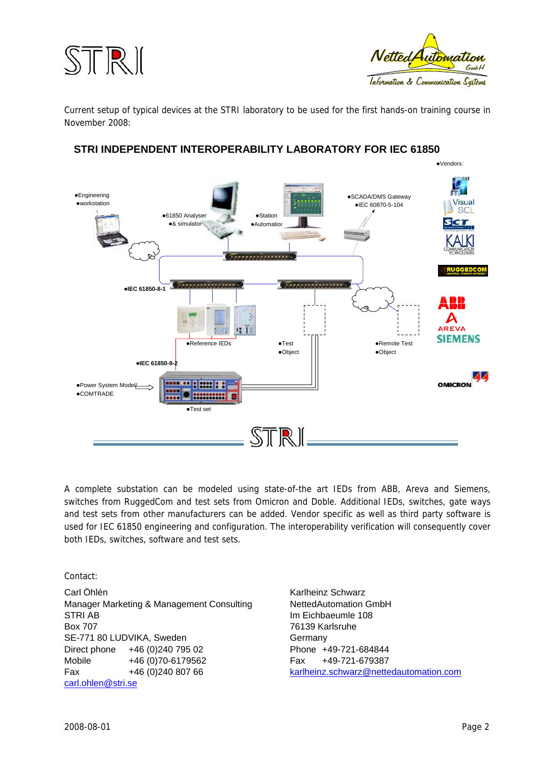



Current setup of typical devices at the STRI laboratory to be used for the first hands-on training course in November 2008:



### **STRI INDEPENDENT INTEROPERABILITY LABORATORY FOR IEC 61850**

A complete substation can be modeled using state-of-the art IEDs from ABB, Areva and Siemens, switches from RuggedCom and test sets from Omicron and Doble. Additional IEDs, switches, gate ways and test sets from other manufacturers can be added. Vendor specific as well as third party software is used for IEC 61850 engineering and configuration. The interoperability verification will consequently cover both IEDs, switches, software and test sets.

Contact:

Carl Öhlén Manager Marketing & Management Consulting STRI AB Box 707 SE-771 80 LUDVIKA, Sweden Direct phone +46 (0)240 795 02 Mobile +46 (0)70-6179562 Fax +46 (0)240 807 66 [carl.ohlen@stri.se](mailto:carl.ohlen@stri.se)

Karlheinz Schwarz NettedAutomation GmbH Im Eichbaeumle 108 76139 Karlsruhe **Germany** Phone +49-721-684844 Fax +49-721-679387 [karlheinz.schwarz@nettedautomation.com](mailto:karlheinz.schwarz@nettedautomation.com)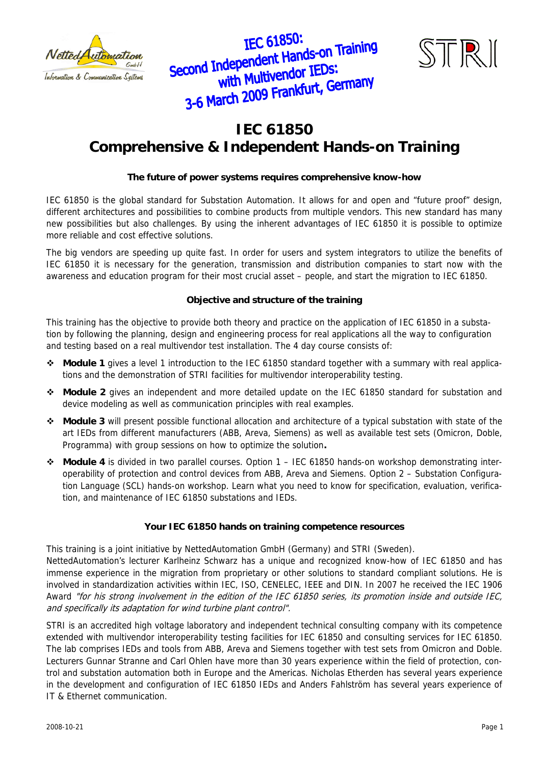





## **IEC 61850 Comprehensive & Independent Hands-on Training**

### **The future of power systems requires comprehensive know-how**

IEC 61850 is the global standard for Substation Automation. It allows for and open and "future proof" design, different architectures and possibilities to combine products from multiple vendors. This new standard has many new possibilities but also challenges. By using the inherent advantages of IEC 61850 it is possible to optimize more reliable and cost effective solutions.

The big vendors are speeding up quite fast. In order for users and system integrators to utilize the benefits of IEC 61850 it is necessary for the generation, transmission and distribution companies to start now with the awareness and education program for their most crucial asset – people, and start the migration to IEC 61850.

### **Objective and structure of the training**

This training has the objective to provide both theory and practice on the application of IEC 61850 in a substation by following the planning, design and engineering process for real applications all the way to configuration and testing based on a real multivendor test installation. The 4 day course consists of:

- **Module 1** gives a level 1 introduction to the IEC 61850 standard together with a summary with real applications and the demonstration of STRI facilities for multivendor interoperability testing.
- **Module 2** gives an independent and more detailed update on the IEC 61850 standard for substation and device modeling as well as communication principles with real examples.
- **Module 3** will present possible functional allocation and architecture of a typical substation with state of the art IEDs from different manufacturers (ABB, Areva, Siemens) as well as available test sets (Omicron, Doble, Programma) with group sessions on how to optimize the solution**.**
- **Module 4** is divided in two parallel courses. Option 1 IEC 61850 hands-on workshop demonstrating interoperability of protection and control devices from ABB, Areva and Siemens. Option 2 – Substation Configuration Language (SCL) hands-on workshop. Learn what you need to know for specification, evaluation, verification, and maintenance of IEC 61850 substations and IEDs.

### **Your IEC 61850 hands on training competence resources**

This training is a joint initiative by NettedAutomation GmbH (Germany) and STRI (Sweden).

NettedAutomation's lecturer Karlheinz Schwarz has a unique and recognized know-how of IEC 61850 and has immense experience in the migration from proprietary or other solutions to standard compliant solutions. He is involved in standardization activities within IEC, ISO, CENELEC, IEEE and DIN. In 2007 he received the IEC 1906 Award "for his strong involvement in the edition of the IEC 61850 series, its promotion inside and outside IEC, and specifically its adaptation for wind turbine plant control".

STRI is an accredited high voltage laboratory and independent technical consulting company with its competence extended with multivendor interoperability testing facilities for IEC 61850 and consulting services for IEC 61850. The lab comprises IEDs and tools from ABB, Areva and Siemens together with test sets from Omicron and Doble. Lecturers Gunnar Stranne and Carl Ohlen have more than 30 years experience within the field of protection, control and substation automation both in Europe and the Americas. Nicholas Etherden has several years experience in the development and configuration of IEC 61850 IEDs and Anders Fahlström has several years experience of IT & Ethernet communication.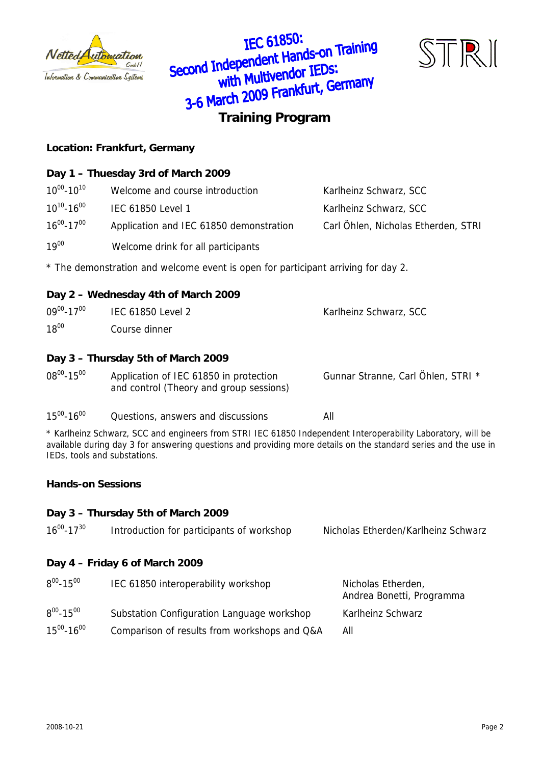

**IEC 61850:** IEC 61850:<br>Second Independent Hands-on Training<br>with Multivendor IEDS: ndependent rights<br>with Multivendor IEDs: **3-6 March 2009 Frankfurt, Germany**<br>Training Program



### **Location: Frankfurt, Germany**

### **Day 1 – Thuesday 3rd of March 2009**

| $10^{00} - 10^{10}$ | Welcome and course introduction         | Karlheinz Schwarz, SCC              |
|---------------------|-----------------------------------------|-------------------------------------|
| $10^{10} - 16^{00}$ | <b>IEC 61850 Level 1</b>                | Karlheinz Schwarz, SCC              |
| $16^{00} - 17^{00}$ | Application and IEC 61850 demonstration | Carl Öhlen, Nicholas Etherden, STRI |

19<sup>00</sup> Welcome drink for all participants

\* The demonstration and welcome event is open for participant arriving for day 2.

### **Day 2 – Wednesday 4th of March 2009**

| $09^{00} - 17^{00}$ | IEC 61850 Level 2 | Karlheinz Schwarz, SCC |
|---------------------|-------------------|------------------------|
| $18^{00}$           | Course dinner     |                        |

### **Day 3 – Thursday 5th of March 2009**

| $08^{00} - 15^{00}$ | Application of IEC 61850 in protection  | Gunnar Stranne, Carl Öhlen, STRI * |
|---------------------|-----------------------------------------|------------------------------------|
|                     | and control (Theory and group sessions) |                                    |

### $15^{00}$ -16<sup>00</sup> Questions, answers and discussions All

\* Karlheinz Schwarz, SCC and engineers from STRI IEC 61850 Independent Interoperability Laboratory, will be available during day 3 for answering questions and providing more details on the standard series and the use in IEDs, tools and substations.

### **Hands-on Sessions**

### **Day 3 – Thursday 5th of March 2009**

| $16^{00} - 17^{30}$ | Introduction for participants of workshop    | Nicholas Etherden/Karlheinz Schwarz             |
|---------------------|----------------------------------------------|-------------------------------------------------|
|                     | Day 4 - Friday 6 of March 2009               |                                                 |
| $8^{00} - 15^{00}$  | IEC 61850 interoperability workshop          | Nicholas Etherden,<br>Andrea Bonetti, Programma |
| $8^{00} - 15^{00}$  | Substation Configuration Language workshop   | Karlheinz Schwarz                               |
| $15^{00} - 16^{00}$ | Comparison of results from workshops and Q&A | All                                             |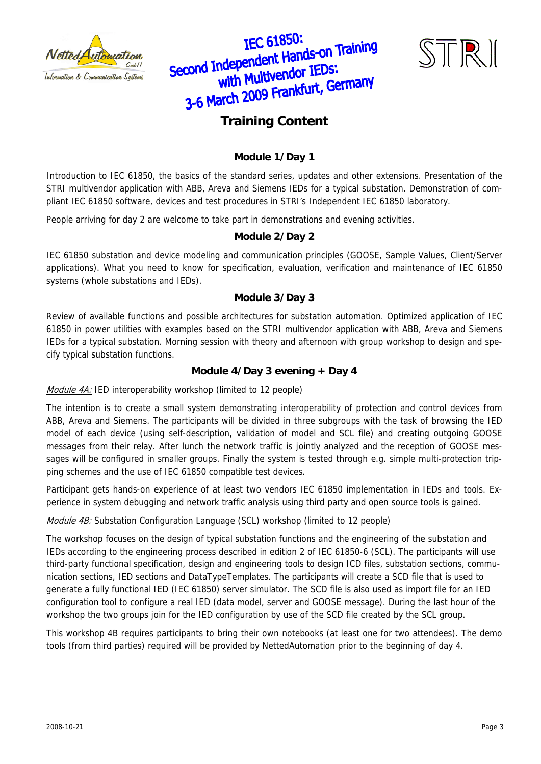





### **Training Content**

### **Module 1/Day 1**

Introduction to IEC 61850, the basics of the standard series, updates and other extensions. Presentation of the STRI multivendor application with ABB, Areva and Siemens IEDs for a typical substation. Demonstration of compliant IEC 61850 software, devices and test procedures in STRI's Independent IEC 61850 laboratory.

People arriving for day 2 are welcome to take part in demonstrations and evening activities.

### **Module 2/Day 2**

IEC 61850 substation and device modeling and communication principles (GOOSE, Sample Values, Client/Server applications). What you need to know for specification, evaluation, verification and maintenance of IEC 61850 systems (whole substations and IEDs).

### **Module 3/Day 3**

Review of available functions and possible architectures for substation automation. Optimized application of IEC 61850 in power utilities with examples based on the STRI multivendor application with ABB, Areva and Siemens IEDs for a typical substation. Morning session with theory and afternoon with group workshop to design and specify typical substation functions.

### **Module 4/Day 3 evening + Day 4**

Module 4A: IED interoperability workshop (limited to 12 people)

The intention is to create a small system demonstrating interoperability of protection and control devices from ABB, Areva and Siemens. The participants will be divided in three subgroups with the task of browsing the IED model of each device (using self-description, validation of model and SCL file) and creating outgoing GOOSE messages from their relay. After lunch the network traffic is jointly analyzed and the reception of GOOSE messages will be configured in smaller groups. Finally the system is tested through e.g. simple multi-protection tripping schemes and the use of IEC 61850 compatible test devices.

Participant gets hands-on experience of at least two vendors IEC 61850 implementation in IEDs and tools. Experience in system debugging and network traffic analysis using third party and open source tools is gained.

Module 4B: Substation Configuration Language (SCL) workshop (limited to 12 people)

The workshop focuses on the design of typical substation functions and the engineering of the substation and IEDs according to the engineering process described in edition 2 of IEC 61850-6 (SCL). The participants will use third-party functional specification, design and engineering tools to design ICD files, substation sections, communication sections, IED sections and DataTypeTemplates. The participants will create a SCD file that is used to generate a fully functional IED (IEC 61850) server simulator. The SCD file is also used as import file for an IED configuration tool to configure a real IED (data model, server and GOOSE message). During the last hour of the workshop the two groups join for the IED configuration by use of the SCD file created by the SCL group.

This workshop 4B requires participants to bring their own notebooks (at least one for two attendees). The demo tools (from third parties) required will be provided by NettedAutomation prior to the beginning of day 4.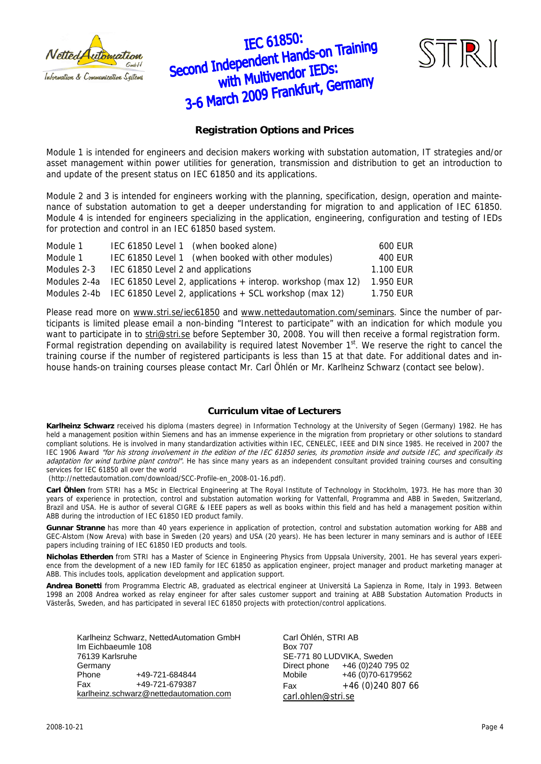

# IEC 61850: IEC 61850:<br>Second Independent Hands-on Training<br>with Multivendor IEDs: independent Hands officers with Multivendor LEDS.<br>3-6 March 2009 Frankfurt, Germany



### **Registration Options and Prices**

Module 1 is intended for engineers and decision makers working with substation automation, IT strategies and/or asset management within power utilities for generation, transmission and distribution to get an introduction to and update of the present status on IEC 61850 and its applications.

Module 2 and 3 is intended for engineers working with the planning, specification, design, operation and maintenance of substation automation to get a deeper understanding for migration to and application of IEC 61850. Module 4 is intended for engineers specializing in the application, engineering, configuration and testing of IEDs for protection and control in an IEC 61850 based system.

| Module 1    | IEC 61850 Level 1 (when booked alone)                                       | 600 EUR   |
|-------------|-----------------------------------------------------------------------------|-----------|
| Module 1    | IEC 61850 Level 1 (when booked with other modules)                          | 400 EUR   |
| Modules 2-3 | IEC 61850 Level 2 and applications                                          | 1.100 EUR |
|             | Modules 2-4a IEC 61850 Level 2, applications $+$ interop. workshop (max 12) | 1.950 EUR |
|             | Modules 2-4b IEC 61850 Level 2, applications $+$ SCL workshop (max 12)      | 1.750 EUR |

Please read more on [www.stri.se/iec61850](http://www.stri.se/iec61850) and [www.nettedautomation.com/seminars.](http://www.nettedautomation.com/seminars) Since the number of participants is limited please email a non-binding "Interest to participate" with an indication for which module you want to participate in to [stri@stri.se](mailto:stri@stri.se) before September 30, 2008. You will then receive a formal registration form. Formal registration depending on availability is required latest November  $1<sup>st</sup>$ . We reserve the right to cancel the training course if the number of registered participants is less than 15 at that date. For additional dates and inhouse hands-on training courses please contact Mr. Carl Öhlén or Mr. Karlheinz Schwarz (contact see below).

### **Curriculum vitae of Lecturers**

**Karlheinz Schwarz** received his diploma (masters degree) in Information Technology at the University of Segen (Germany) 1982. He has held a management position within Siemens and has an immense experience in the migration from proprietary or other solutions to standard compliant solutions. He is involved in many standardization activities within IEC, CENELEC, IEEE and DIN since 1985. He received in 2007 the IEC 1906 Award "for his strong involvement in the edition of the IEC 61850 series, its promotion inside and outside IEC, and specifically its adaptation for wind turbine plant control". He has since many years as an independent consultant provided training courses and consulting services for IEC 61850 all over the world

(http://nettedautomation.com/download/SCC-Profile-en\_2008-01-16.pdf).

**Carl Öhlen** from STRI has a MSc in Electrical Engineering at The Royal Institute of Technology in Stockholm, 1973. He has more than 30 years of experience in protection, control and substation automation working for Vattenfall, Programma and ABB in Sweden, Switzerland, Brazil and USA. He is author of several CIGRE & IEEE papers as well as books within this field and has held a management position within ABB during the introduction of IEC 61850 IED product family.

**Gunnar Stranne** has more than 40 years experience in application of protection, control and substation automation working for ABB and GEC-Alstom (Now Areva) with base in Sweden (20 years) and USA (20 years). He has been lecturer in many seminars and is author of IEEE papers including training of IEC 61850 IED products and tools.

**Nicholas Etherden** from STRI has a Master of Science in Engineering Physics from Uppsala University, 2001. He has several years experience from the development of a new IED family for IEC 61850 as application engineer, project manager and product marketing manager at ABB. This includes tools, application development and application support.

**Andrea Bonetti** from Programma Electric AB, graduated as electrical engineer at Universitá La Sapienza in Rome, Italy in 1993. Between 1998 an 2008 Andrea worked as relay engineer for after sales customer support and training at ABB Substation Automation Products in Västerås, Sweden, and has participated in several IEC 61850 projects with protection/control applications.

Karlheinz Schwarz, NettedAutomation GmbH Im Eichbaeumle 108 76139 Karlsruhe Germany Phone +49-721-684844 Fax +49-721-679387 [karlheinz.schwarz@nettedautomation.com](mailto:karlheinz.schwarz@nettedautomation.com)

Carl Öhlén, STRI AB Box 707 SE-771 80 LUDVIKA, Sweden Direct phone +46 (0)240 795 02 Mobile +46 (0)70-6179562 Fax +46 (0)240 807 66 [carl.ohlen@stri.se](mailto:carl.ohlen@stri.se)